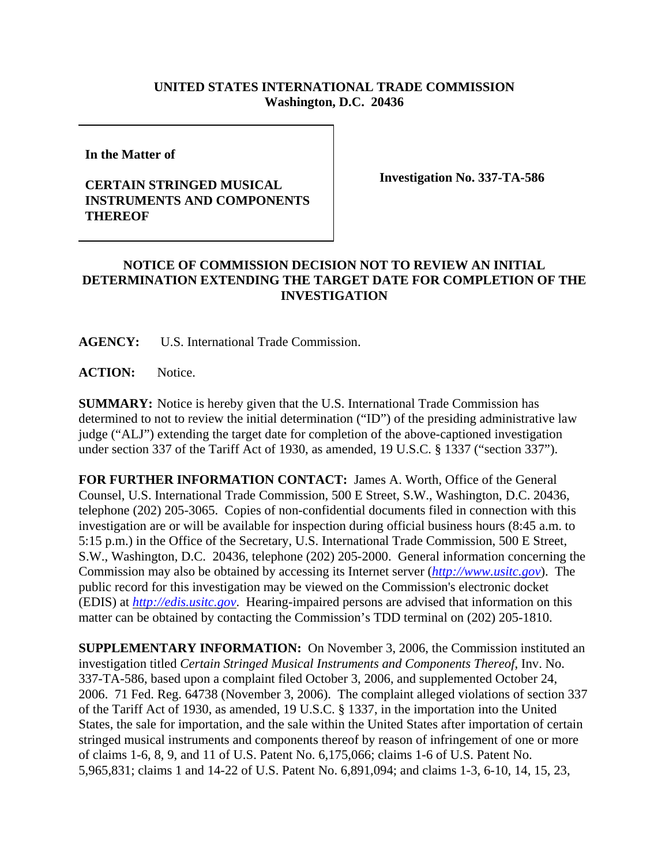## **UNITED STATES INTERNATIONAL TRADE COMMISSION Washington, D.C. 20436**

**In the Matter of**

## **CERTAIN STRINGED MUSICAL INSTRUMENTS AND COMPONENTS THEREOF**

**Investigation No. 337-TA-586**

## **NOTICE OF COMMISSION DECISION NOT TO REVIEW AN INITIAL DETERMINATION EXTENDING THE TARGET DATE FOR COMPLETION OF THE INVESTIGATION**

**AGENCY:** U.S. International Trade Commission.

**ACTION:** Notice.

**SUMMARY:** Notice is hereby given that the U.S. International Trade Commission has determined to not to review the initial determination ("ID") of the presiding administrative law judge ("ALJ") extending the target date for completion of the above-captioned investigation under section 337 of the Tariff Act of 1930, as amended, 19 U.S.C. § 1337 ("section 337").

**FOR FURTHER INFORMATION CONTACT:** James A. Worth, Office of the General Counsel, U.S. International Trade Commission, 500 E Street, S.W., Washington, D.C. 20436, telephone (202) 205-3065. Copies of non-confidential documents filed in connection with this investigation are or will be available for inspection during official business hours (8:45 a.m. to 5:15 p.m.) in the Office of the Secretary, U.S. International Trade Commission, 500 E Street, S.W., Washington, D.C. 20436, telephone (202) 205-2000. General information concerning the Commission may also be obtained by accessing its Internet server (*http://www.usitc.gov*). The public record for this investigation may be viewed on the Commission's electronic docket (EDIS) at *http://edis.usitc.gov*. Hearing-impaired persons are advised that information on this matter can be obtained by contacting the Commission's TDD terminal on (202) 205-1810.

**SUPPLEMENTARY INFORMATION:** On November 3, 2006, the Commission instituted an investigation titled *Certain Stringed Musical Instruments and Components Thereof*, Inv. No. 337-TA-586, based upon a complaint filed October 3, 2006, and supplemented October 24, 2006. 71 Fed. Reg. 64738 (November 3, 2006). The complaint alleged violations of section 337 of the Tariff Act of 1930, as amended, 19 U.S.C. § 1337, in the importation into the United States, the sale for importation, and the sale within the United States after importation of certain stringed musical instruments and components thereof by reason of infringement of one or more of claims 1-6, 8, 9, and 11 of U.S. Patent No. 6,175,066; claims 1-6 of U.S. Patent No. 5,965,831; claims 1 and 14-22 of U.S. Patent No. 6,891,094; and claims 1-3, 6-10, 14, 15, 23,